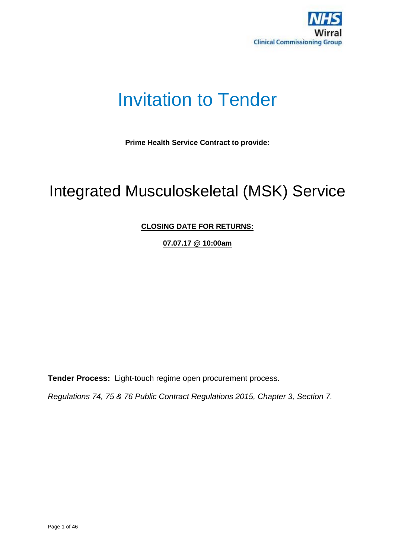

# Invitation to Tender

**Prime Health Service Contract to provide:**

# Integrated Musculoskeletal (MSK) Service

# **CLOSING DATE FOR RETURNS:**

**07.07.17 @ 10:00am**

**Tender Process:** Light-touch regime open procurement process.

*Regulations 74, 75 & 76 Public Contract Regulations 2015, Chapter 3, Section 7.*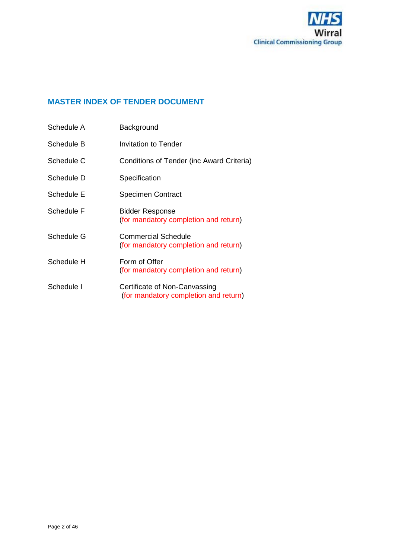

# **MASTER INDEX OF TENDER DOCUMENT**

| Schedule A | Background                                                             |
|------------|------------------------------------------------------------------------|
| Schedule B | <b>Invitation to Tender</b>                                            |
| Schedule C | Conditions of Tender (inc Award Criteria)                              |
| Schedule D | Specification                                                          |
| Schedule E | <b>Specimen Contract</b>                                               |
| Schedule F | <b>Bidder Response</b><br>(for mandatory completion and return)        |
| Schedule G | <b>Commercial Schedule</b><br>(for mandatory completion and return)    |
| Schedule H | Form of Offer<br>(for mandatory completion and return)                 |
| Schedule I | Certificate of Non-Canvassing<br>(for mandatory completion and return) |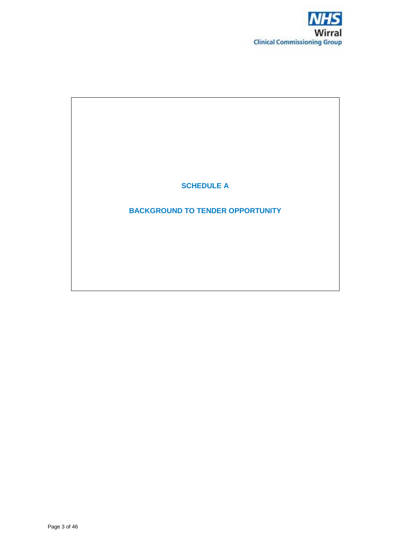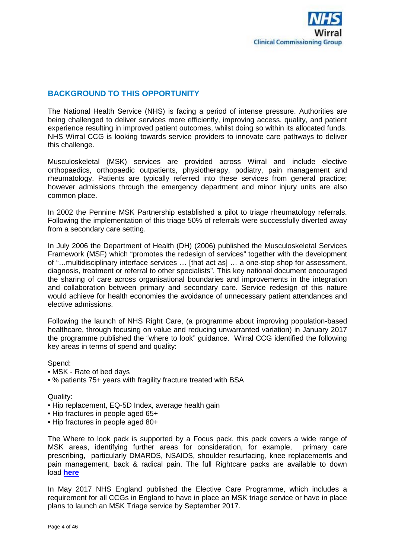

# **BACKGROUND TO THIS OPPORTUNITY**

The National Health Service (NHS) is facing a period of intense pressure. Authorities are being challenged to deliver services more efficiently, improving access, quality, and patient experience resulting in improved patient outcomes, whilst doing so within its allocated funds. NHS Wirral CCG is looking towards service providers to innovate care pathways to deliver this challenge.

Musculoskeletal (MSK) services are provided across Wirral and include elective orthopaedics, orthopaedic outpatients, physiotherapy, podiatry, pain management and rheumatology. Patients are typically referred into these services from general practice; however admissions through the emergency department and minor injury units are also common place.

In 2002 the Pennine MSK Partnership established a pilot to triage rheumatology referrals. Following the implementation of this triage 50% of referrals were successfully diverted away from a secondary care setting.

In July 2006 the Department of Health (DH) (2006) published the Musculoskeletal Services Framework (MSF) which "promotes the redesign of services" together with the development of "…multidisciplinary interface services … [that act as] … a one-stop shop for assessment, diagnosis, treatment or referral to other specialists". This key national document encouraged the sharing of care across organisational boundaries and improvements in the integration and collaboration between primary and secondary care. Service redesign of this nature would achieve for health economies the avoidance of unnecessary patient attendances and elective admissions.

Following the launch of NHS Right Care, (a programme about improving population-based healthcare, through focusing on value and reducing unwarranted variation) in January 2017 the programme published the "where to look" guidance. Wirral CCG identified the following key areas in terms of spend and quality:

Spend:

- MSK Rate of bed days
- % patients 75+ years with fragility fracture treated with BSA

Quality:

- Hip replacement, EQ-5D Index, average health gain
- Hip fractures in people aged 65+
- Hip fractures in people aged 80+

The Where to look pack is supported by a Focus pack, this pack covers a wide range of MSK areas, identifying further areas for consideration, for example, primary care prescribing, particularly DMARDS, NSAIDS, shoulder resurfacing, knee replacements and pain management, back & radical pain. The full Rightcare packs are available to down load **[here](https://www.england.nhs.uk/rightcare/intel/cfv/data-packs/north)**

In May 2017 NHS England published the Elective Care Programme, which includes a requirement for all CCGs in England to have in place an MSK triage service or have in place plans to launch an MSK Triage service by September 2017.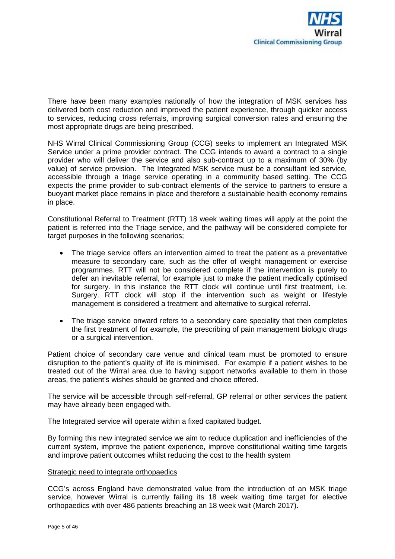

There have been many examples nationally of how the integration of MSK services has delivered both cost reduction and improved the patient experience, through quicker access to services, reducing cross referrals, improving surgical conversion rates and ensuring the most appropriate drugs are being prescribed.

NHS Wirral Clinical Commissioning Group (CCG) seeks to implement an Integrated MSK Service under a prime provider contract. The CCG intends to award a contract to a single provider who will deliver the service and also sub-contract up to a maximum of 30% (by value) of service provision. The Integrated MSK service must be a consultant led service, accessible through a triage service operating in a community based setting. The CCG expects the prime provider to sub-contract elements of the service to partners to ensure a buoyant market place remains in place and therefore a sustainable health economy remains in place.

Constitutional Referral to Treatment (RTT) 18 week waiting times will apply at the point the patient is referred into the Triage service, and the pathway will be considered complete for target purposes in the following scenarios;

- The triage service offers an intervention aimed to treat the patient as a preventative measure to secondary care, such as the offer of weight management or exercise programmes. RTT will not be considered complete if the intervention is purely to defer an inevitable referral, for example just to make the patient medically optimised for surgery. In this instance the RTT clock will continue until first treatment, i.e. Surgery. RTT clock will stop if the intervention such as weight or lifestyle management is considered a treatment and alternative to surgical referral.
- The triage service onward refers to a secondary care speciality that then completes the first treatment of for example, the prescribing of pain management biologic drugs or a surgical intervention.

Patient choice of secondary care venue and clinical team must be promoted to ensure disruption to the patient's quality of life is minimised. For example if a patient wishes to be treated out of the Wirral area due to having support networks available to them in those areas, the patient's wishes should be granted and choice offered.

The service will be accessible through self-referral, GP referral or other services the patient may have already been engaged with.

The Integrated service will operate within a fixed capitated budget.

By forming this new integrated service we aim to reduce duplication and inefficiencies of the current system, improve the patient experience, improve constitutional waiting time targets and improve patient outcomes whilst reducing the cost to the health system

#### Strategic need to integrate orthopaedics

CCG's across England have demonstrated value from the introduction of an MSK triage service, however Wirral is currently failing its 18 week waiting time target for elective orthopaedics with over 486 patients breaching an 18 week wait (March 2017).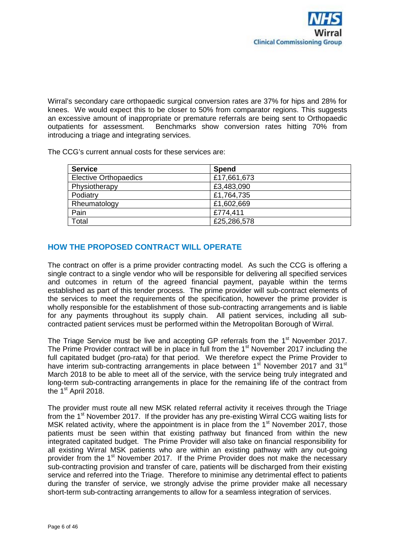Wirral's secondary care orthopaedic surgical conversion rates are 37% for hips and 28% for knees. We would expect this to be closer to 50% from comparator regions. This suggests an excessive amount of inappropriate or premature referrals are being sent to Orthopaedic outpatients for assessment. Benchmarks show conversion rates hitting 70% from introducing a triage and integrating services.

The CCG's current annual costs for these services are:

| <b>Service</b>               | Spend       |
|------------------------------|-------------|
| <b>Elective Orthopaedics</b> | £17,661,673 |
| Physiotherapy                | £3,483,090  |
| Podiatry                     | £1,764,735  |
| Rheumatology                 | £1,602,669  |
| Pain                         | £774,411    |
| Total                        | £25,286,578 |

# **HOW THE PROPOSED CONTRACT WILL OPERATE**

The contract on offer is a prime provider contracting model. As such the CCG is offering a single contract to a single vendor who will be responsible for delivering all specified services and outcomes in return of the agreed financial payment, payable within the terms established as part of this tender process. The prime provider will sub-contract elements of the services to meet the requirements of the specification, however the prime provider is wholly responsible for the establishment of those sub-contracting arrangements and is liable for any payments throughout its supply chain. All patient services, including all subcontracted patient services must be performed within the Metropolitan Borough of Wirral.

The Triage Service must be live and accepting GP referrals from the  $1<sup>st</sup>$  November 2017. The Prime Provider contract will be in place in full from the 1<sup>st</sup> November 2017 including the full capitated budget (pro-rata) for that period. We therefore expect the Prime Provider to have interim sub-contracting arrangements in place between 1<sup>st</sup> November 2017 and 31<sup>st</sup> March 2018 to be able to meet all of the service, with the service being truly integrated and long-term sub-contracting arrangements in place for the remaining life of the contract from the 1<sup>st</sup> April 2018.

The provider must route all new MSK related referral activity it receives through the Triage from the  $1<sup>st</sup>$  November 2017. If the provider has any pre-existing Wirral CCG waiting lists for MSK related activity, where the appointment is in place from the  $1<sup>st</sup>$  November 2017, those patients must be seen within that existing pathway but financed from within the new integrated capitated budget. The Prime Provider will also take on financial responsibility for all existing Wirral MSK patients who are within an existing pathway with any out-going provider from the 1<sup>st</sup> November 2017. If the Prime Provider does not make the necessary sub-contracting provision and transfer of care, patients will be discharged from their existing service and referred into the Triage. Therefore to minimise any detrimental effect to patients during the transfer of service, we strongly advise the prime provider make all necessary short-term sub-contracting arrangements to allow for a seamless integration of services.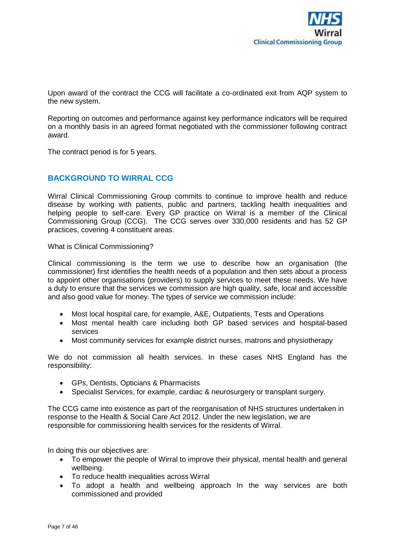

Upon award of the contract the CCG will facilitate a co-ordinated exit from AQP system to the new system.

Reporting on outcomes and performance against key performance indicators will be required on a monthly basis in an agreed format negotiated with the commissioner following contract award.

The contract period is for 5 years.

# **BACKGROUND TO WIRRAL CCG**

Wirral Clinical Commissioning Group commits to continue to improve health and reduce disease by working with patients, public and partners, tackling health inequalities and helping people to self-care. Every GP practice on Wirral is a member of the Clinical Commissioning Group (CCG). The CCG serves over 330,000 residents and has 52 GP practices, covering 4 constituent areas.

What is Clinical Commissioning?

Clinical commissioning is the term we use to describe how an organisation (the commissioner) first identifies the health needs of a population and then sets about a process to appoint other organisations (providers) to supply services to meet these needs. We have a duty to ensure that the services we commission are high quality, safe, local and accessible and also good value for money. The types of service we commission include:

- Most local hospital care, for example, A&E, Outpatients, Tests and Operations
- Most mental health care including both GP based services and hospital-based services
- Most community services for example district nurses, matrons and physiotherapy

We do not commission all health services. In these cases NHS England has the responsibility:

- GPs, Dentists, Opticians & Pharmacists
- Specialist Services, for example, cardiac & neurosurgery or transplant surgery.

The CCG came into existence as part of the reorganisation of NHS structures undertaken in response to the Health & Social Care Act 2012. Under the new legislation, we are responsible for commissioning health services for the residents of Wirral.

In doing this our objectives are:

- To empower the people of Wirral to improve their physical, mental health and general wellbeing.
- To reduce health inequalities across Wirral
- To adopt a health and wellbeing approach In the way services are both commissioned and provided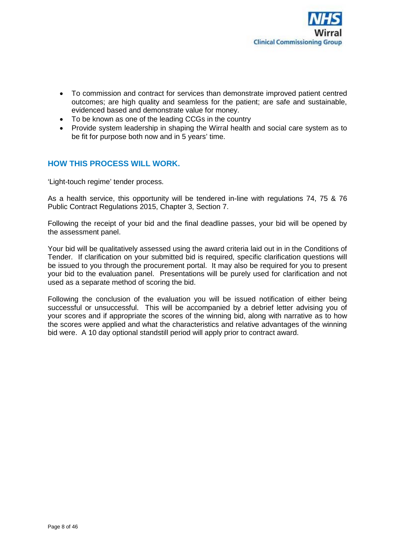

- To commission and contract for services than demonstrate improved patient centred outcomes; are high quality and seamless for the patient; are safe and sustainable, evidenced based and demonstrate value for money.
- To be known as one of the leading CCGs in the country
- Provide system leadership in shaping the Wirral health and social care system as to be fit for purpose both now and in 5 years' time.

# **HOW THIS PROCESS WILL WORK.**

'Light-touch regime' tender process.

As a health service, this opportunity will be tendered in-line with regulations 74, 75 & 76 Public Contract Regulations 2015, Chapter 3, Section 7.

Following the receipt of your bid and the final deadline passes, your bid will be opened by the assessment panel.

Your bid will be qualitatively assessed using the award criteria laid out in in the Conditions of Tender. If clarification on your submitted bid is required, specific clarification questions will be issued to you through the procurement portal. It may also be required for you to present your bid to the evaluation panel. Presentations will be purely used for clarification and not used as a separate method of scoring the bid.

Following the conclusion of the evaluation you will be issued notification of either being successful or unsuccessful. This will be accompanied by a debrief letter advising you of your scores and if appropriate the scores of the winning bid, along with narrative as to how the scores were applied and what the characteristics and relative advantages of the winning bid were. A 10 day optional standstill period will apply prior to contract award.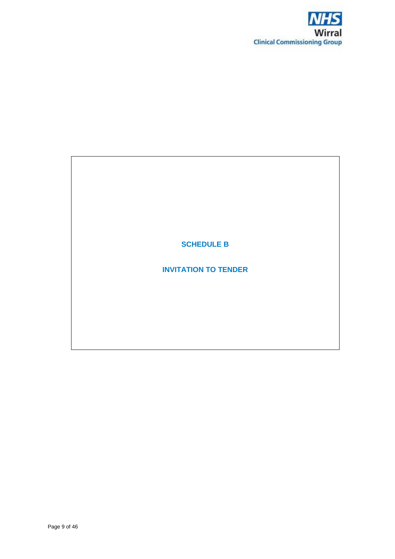

# **SCHEDULE B**

# **INVITATION TO TENDER**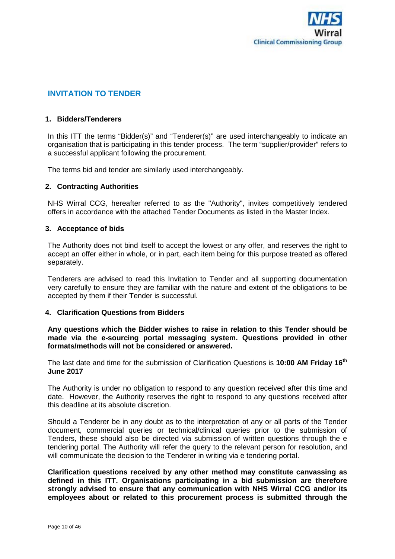

# **INVITATION TO TENDER**

#### **1. Bidders/Tenderers**

In this ITT the terms "Bidder(s)" and "Tenderer(s)" are used interchangeably to indicate an organisation that is participating in this tender process. The term "supplier/provider" refers to a successful applicant following the procurement.

The terms bid and tender are similarly used interchangeably.

## **2. Contracting Authorities**

NHS Wirral CCG, hereafter referred to as the "Authority", invites competitively tendered offers in accordance with the attached Tender Documents as listed in the Master Index.

#### **3. Acceptance of bids**

The Authority does not bind itself to accept the lowest or any offer, and reserves the right to accept an offer either in whole, or in part, each item being for this purpose treated as offered separately.

Tenderers are advised to read this Invitation to Tender and all supporting documentation very carefully to ensure they are familiar with the nature and extent of the obligations to be accepted by them if their Tender is successful.

#### **4. Clarification Questions from Bidders**

**Any questions which the Bidder wishes to raise in relation to this Tender should be made via the e-sourcing portal messaging system. Questions provided in other formats/methods will not be considered or answered.**

The last date and time for the submission of Clarification Questions is **10:00 AM Friday 16th June 2017**

The Authority is under no obligation to respond to any question received after this time and date. However, the Authority reserves the right to respond to any questions received after this deadline at its absolute discretion.

Should a Tenderer be in any doubt as to the interpretation of any or all parts of the Tender document, commercial queries or technical/clinical queries prior to the submission of Tenders, these should also be directed via submission of written questions through the e tendering portal. The Authority will refer the query to the relevant person for resolution, and will communicate the decision to the Tenderer in writing via e tendering portal.

**Clarification questions received by any other method may constitute canvassing as defined in this ITT. Organisations participating in a bid submission are therefore strongly advised to ensure that any communication with NHS Wirral CCG and/or its employees about or related to this procurement process is submitted through the**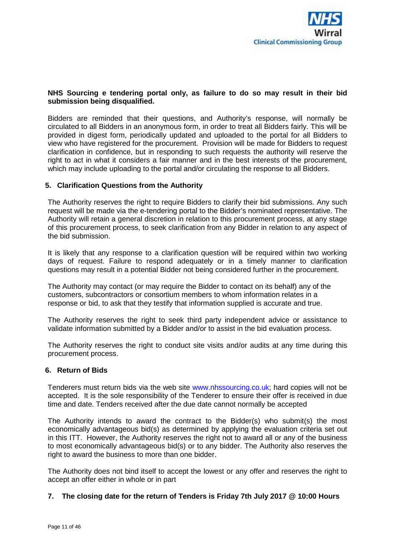

## **NHS Sourcing e tendering portal only, as failure to do so may result in their bid submission being disqualified.**

Bidders are reminded that their questions, and Authority's response, will normally be circulated to all Bidders in an anonymous form, in order to treat all Bidders fairly. This will be provided in digest form, periodically updated and uploaded to the portal for all Bidders to view who have registered for the procurement. Provision will be made for Bidders to request clarification in confidence, but in responding to such requests the authority will reserve the right to act in what it considers a fair manner and in the best interests of the procurement, which may include uploading to the portal and/or circulating the response to all Bidders.

## **5. Clarification Questions from the Authority**

The Authority reserves the right to require Bidders to clarify their bid submissions. Any such request will be made via the e-tendering portal to the Bidder's nominated representative. The Authority will retain a general discretion in relation to this procurement process, at any stage of this procurement process, to seek clarification from any Bidder in relation to any aspect of the bid submission.

It is likely that any response to a clarification question will be required within two working days of request. Failure to respond adequately or in a timely manner to clarification questions may result in a potential Bidder not being considered further in the procurement.

The Authority may contact (or may require the Bidder to contact on its behalf) any of the customers, subcontractors or consortium members to whom information relates in a response or bid, to ask that they testify that information supplied is accurate and true.

The Authority reserves the right to seek third party independent advice or assistance to validate information submitted by a Bidder and/or to assist in the bid evaluation process.

The Authority reserves the right to conduct site visits and/or audits at any time during this procurement process.

#### **6. Return of Bids**

Tenderers must return bids via the web site www.nhssourcing.co.uk; hard copies will not be accepted. It is the sole responsibility of the Tenderer to ensure their offer is received in due time and date. Tenders received after the due date cannot normally be accepted

The Authority intends to award the contract to the Bidder(s) who submit(s) the most economically advantageous bid(s) as determined by applying the evaluation criteria set out in this ITT. However, the Authority reserves the right not to award all or any of the business to most economically advantageous bid(s) or to any bidder. The Authority also reserves the right to award the business to more than one bidder.

The Authority does not bind itself to accept the lowest or any offer and reserves the right to accept an offer either in whole or in part

#### **7. The closing date for the return of Tenders is Friday 7th July 2017 @ 10:00 Hours**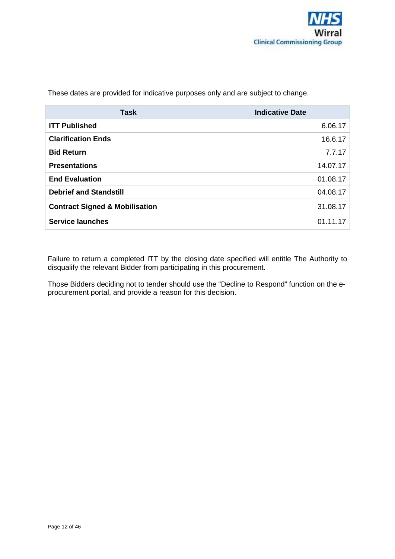**Task Indicative Date ITT Published** 6.06.17 **Clarification Ends** 16.6.17 **Bid Return** 7.7.17 **Presentations** 14.07.17 **End Evaluation** 01.08.17 **Debrief and Standstill** 04.08.17 **Contract Signed & Mobilisation** 31.08.17 **Service launches** 01.11.17

These dates are provided for indicative purposes only and are subject to change.

Failure to return a completed ITT by the closing date specified will entitle The Authority to disqualify the relevant Bidder from participating in this procurement.

Those Bidders deciding not to tender should use the "Decline to Respond" function on the eprocurement portal, and provide a reason for this decision.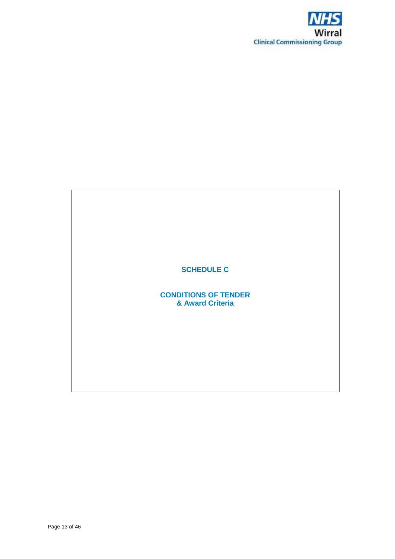

# **SCHEDULE C**

**CONDITIONS OF TENDER & Award Criteria**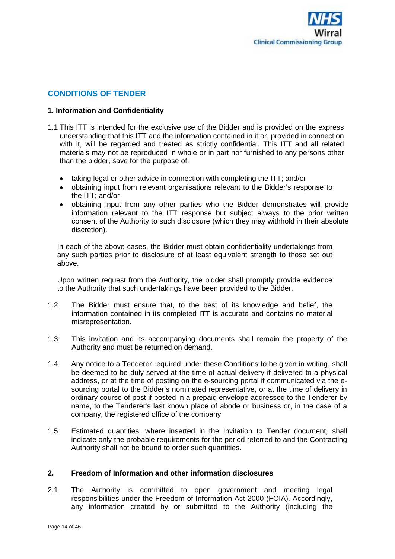

# **CONDITIONS OF TENDER**

## **1. Information and Confidentiality**

- 1.1 This ITT is intended for the exclusive use of the Bidder and is provided on the express understanding that this ITT and the information contained in it or, provided in connection with it, will be regarded and treated as strictly confidential. This ITT and all related materials may not be reproduced in whole or in part nor furnished to any persons other than the bidder, save for the purpose of:
	- taking legal or other advice in connection with completing the ITT; and/or
	- obtaining input from relevant organisations relevant to the Bidder's response to the ITT; and/or
	- obtaining input from any other parties who the Bidder demonstrates will provide information relevant to the ITT response but subject always to the prior written consent of the Authority to such disclosure (which they may withhold in their absolute discretion).

In each of the above cases, the Bidder must obtain confidentiality undertakings from any such parties prior to disclosure of at least equivalent strength to those set out above.

Upon written request from the Authority, the bidder shall promptly provide evidence to the Authority that such undertakings have been provided to the Bidder.

- 1.2 The Bidder must ensure that, to the best of its knowledge and belief, the information contained in its completed ITT is accurate and contains no material misrepresentation.
- 1.3 This invitation and its accompanying documents shall remain the property of the Authority and must be returned on demand.
- 1.4 Any notice to a Tenderer required under these Conditions to be given in writing, shall be deemed to be duly served at the time of actual delivery if delivered to a physical address, or at the time of posting on the e-sourcing portal if communicated via the esourcing portal to the Bidder's nominated representative, or at the time of delivery in ordinary course of post if posted in a prepaid envelope addressed to the Tenderer by name, to the Tenderer's last known place of abode or business or, in the case of a company, the registered office of the company.
- 1.5 Estimated quantities, where inserted in the Invitation to Tender document, shall indicate only the probable requirements for the period referred to and the Contracting Authority shall not be bound to order such quantities.

## **2. Freedom of Information and other information disclosures**

2.1 The Authority is committed to open government and meeting legal responsibilities under the Freedom of Information Act 2000 (FOIA). Accordingly, any information created by or submitted to the Authority (including the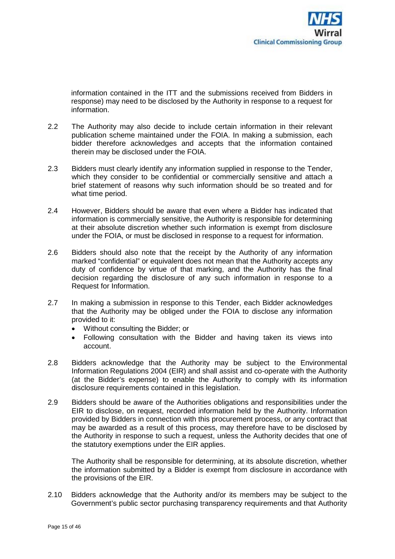information contained in the ITT and the submissions received from Bidders in response) may need to be disclosed by the Authority in response to a request for information.

- 2.2 The Authority may also decide to include certain information in their relevant publication scheme maintained under the FOIA. In making a submission, each bidder therefore acknowledges and accepts that the information contained therein may be disclosed under the FOIA.
- 2.3 Bidders must clearly identify any information supplied in response to the Tender, which they consider to be confidential or commercially sensitive and attach a brief statement of reasons why such information should be so treated and for what time period.
- 2.4 However, Bidders should be aware that even where a Bidder has indicated that information is commercially sensitive, the Authority is responsible for determining at their absolute discretion whether such information is exempt from disclosure under the FOIA, or must be disclosed in response to a request for information.
- 2.6 Bidders should also note that the receipt by the Authority of any information marked "confidential" or equivalent does not mean that the Authority accepts any duty of confidence by virtue of that marking, and the Authority has the final decision regarding the disclosure of any such information in response to a Request for Information.
- 2.7 In making a submission in response to this Tender, each Bidder acknowledges that the Authority may be obliged under the FOIA to disclose any information provided to it:
	- Without consulting the Bidder; or
	- Following consultation with the Bidder and having taken its views into account.
- 2.8 Bidders acknowledge that the Authority may be subject to the Environmental Information Regulations 2004 (EIR) and shall assist and co-operate with the Authority (at the Bidder's expense) to enable the Authority to comply with its information disclosure requirements contained in this legislation.
- 2.9 Bidders should be aware of the Authorities obligations and responsibilities under the EIR to disclose, on request, recorded information held by the Authority. Information provided by Bidders in connection with this procurement process, or any contract that may be awarded as a result of this process, may therefore have to be disclosed by the Authority in response to such a request, unless the Authority decides that one of the statutory exemptions under the EIR applies.

The Authority shall be responsible for determining, at its absolute discretion, whether the information submitted by a Bidder is exempt from disclosure in accordance with the provisions of the EIR.

2.10 Bidders acknowledge that the Authority and/or its members may be subject to the Government's public sector purchasing transparency requirements and that Authority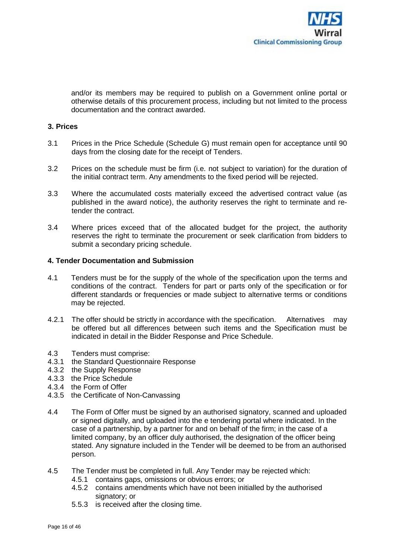

and/or its members may be required to publish on a Government online portal or otherwise details of this procurement process, including but not limited to the process documentation and the contract awarded.

#### **3. Prices**

- 3.1 Prices in the Price Schedule (Schedule G) must remain open for acceptance until 90 days from the closing date for the receipt of Tenders.
- 3.2 Prices on the schedule must be firm (i.e. not subject to variation) for the duration of the initial contract term. Any amendments to the fixed period will be rejected.
- 3.3 Where the accumulated costs materially exceed the advertised contract value (as published in the award notice), the authority reserves the right to terminate and retender the contract.
- 3.4 Where prices exceed that of the allocated budget for the project, the authority reserves the right to terminate the procurement or seek clarification from bidders to submit a secondary pricing schedule.

## **4. Tender Documentation and Submission**

- 4.1 Tenders must be for the supply of the whole of the specification upon the terms and conditions of the contract. Tenders for part or parts only of the specification or for different standards or frequencies or made subject to alternative terms or conditions may be rejected.
- 4.2.1 The offer should be strictly in accordance with the specification. Alternatives may be offered but all differences between such items and the Specification must be indicated in detail in the Bidder Response and Price Schedule.
- 4.3 Tenders must comprise:
- 4.3.1 the Standard Questionnaire Response
- 4.3.2 the Supply Response
- 4.3.3 the Price Schedule
- 4.3.4 the Form of Offer
- 4.3.5 the Certificate of Non-Canvassing
- 4.4 The Form of Offer must be signed by an authorised signatory, scanned and uploaded or signed digitally, and uploaded into the e tendering portal where indicated. In the case of a partnership, by a partner for and on behalf of the firm; in the case of a limited company, by an officer duly authorised, the designation of the officer being stated. Any signature included in the Tender will be deemed to be from an authorised person.
- 4.5 The Tender must be completed in full. Any Tender may be rejected which:
	- 4.5.1 contains gaps, omissions or obvious errors; or
	- 4.5.2 contains amendments which have not been initialled by the authorised signatory; or
	- 5.5.3 is received after the closing time.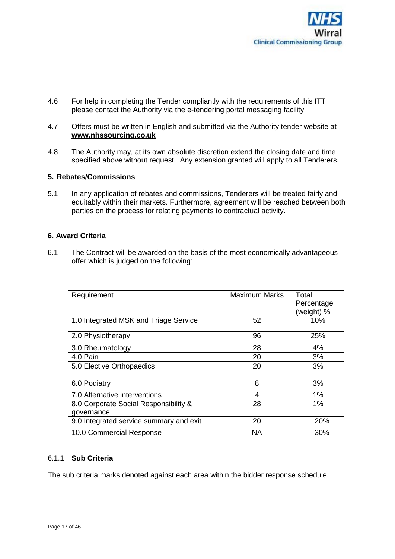

- 4.6 For help in completing the Tender compliantly with the requirements of this ITT please contact the Authority via the e-tendering portal messaging facility.
- 4.7 Offers must be written in English and submitted via the Authority tender website at **www.nhssourcing.co.uk**
- 4.8 The Authority may, at its own absolute discretion extend the closing date and time specified above without request. Any extension granted will apply to all Tenderers.

## **5. Rebates/Commissions**

5.1 In any application of rebates and commissions, Tenderers will be treated fairly and equitably within their markets. Furthermore, agreement will be reached between both parties on the process for relating payments to contractual activity.

## **6. Award Criteria**

6.1 The Contract will be awarded on the basis of the most economically advantageous offer which is judged on the following:

| Requirement                             | <b>Maximum Marks</b> | Total      |
|-----------------------------------------|----------------------|------------|
|                                         |                      | Percentage |
|                                         |                      | (weight) % |
| 1.0 Integrated MSK and Triage Service   | 52                   | 10%        |
| 2.0 Physiotherapy                       | 96                   | 25%        |
| 3.0 Rheumatology                        | 28                   | 4%         |
| 4.0 Pain                                | 20                   | 3%         |
| 5.0 Elective Orthopaedics               | 20                   | 3%         |
| 6.0 Podiatry                            | 8                    | 3%         |
| 7.0 Alternative interventions           | 4                    | 1%         |
| 8.0 Corporate Social Responsibility &   | 28                   | 1%         |
| governance                              |                      |            |
| 9.0 Integrated service summary and exit | 20                   | 20%        |
| 10.0 Commercial Response                | <b>NA</b>            | 30%        |

## 6.1.1 **Sub Criteria**

The sub criteria marks denoted against each area within the bidder response schedule.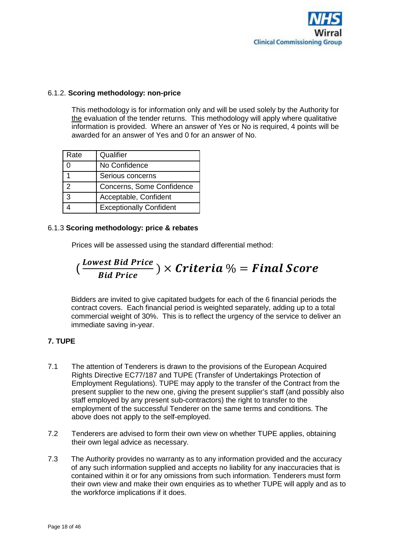

## 6.1.2. **Scoring methodology: non-price**

This methodology is for information only and will be used solely by the Authority for the evaluation of the tender returns. This methodology will apply where qualitative information is provided. Where an answer of Yes or No is required, 4 points will be awarded for an answer of Yes and 0 for an answer of No.

| Rate          | Qualifier                      |
|---------------|--------------------------------|
|               | No Confidence                  |
|               | Serious concerns               |
| $\mathcal{P}$ | Concerns, Some Confidence      |
| 3             | Acceptable, Confident          |
|               | <b>Exceptionally Confident</b> |

## 6.1.3 **Scoring methodology: price & rebates**

Prices will be assessed using the standard differential method:

$$
(\frac{Lower \, Bid \, Price}{Bid \, Price}) \times Criteria \, \% = Final \, Score
$$

Bidders are invited to give capitated budgets for each of the 6 financial periods the contract covers. Each financial period is weighted separately, adding up to a total commercial weight of 30%. This is to reflect the urgency of the service to deliver an immediate saving in-year.

## **7. TUPE**

- 7.1 The attention of Tenderers is drawn to the provisions of the European Acquired Rights Directive EC77/187 and TUPE (Transfer of Undertakings Protection of Employment Regulations). TUPE may apply to the transfer of the Contract from the present supplier to the new one, giving the present supplier's staff (and possibly also staff employed by any present sub-contractors) the right to transfer to the employment of the successful Tenderer on the same terms and conditions. The above does not apply to the self-employed.
- 7.2 Tenderers are advised to form their own view on whether TUPE applies, obtaining their own legal advice as necessary.
- 7.3 The Authority provides no warranty as to any information provided and the accuracy of any such information supplied and accepts no liability for any inaccuracies that is contained within it or for any omissions from such information. Tenderers must form their own view and make their own enquiries as to whether TUPE will apply and as to the workforce implications if it does.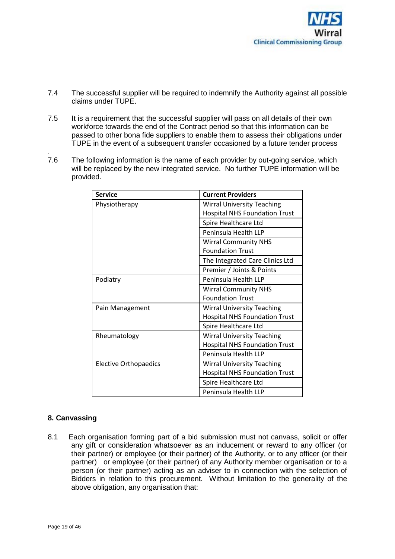

- 7.4 The successful supplier will be required to indemnify the Authority against all possible claims under TUPE.
- 7.5 It is a requirement that the successful supplier will pass on all details of their own workforce towards the end of the Contract period so that this information can be passed to other bona fide suppliers to enable them to assess their obligations under TUPE in the event of a subsequent transfer occasioned by a future tender process
- 7.6 The following information is the name of each provider by out-going service, which will be replaced by the new integrated service. No further TUPE information will be provided.

| <b>Service</b>               | <b>Current Providers</b>             |
|------------------------------|--------------------------------------|
| Physiotherapy                | <b>Wirral University Teaching</b>    |
|                              | <b>Hospital NHS Foundation Trust</b> |
|                              | Spire Healthcare Ltd                 |
|                              | Peninsula Health LLP                 |
|                              | <b>Wirral Community NHS</b>          |
|                              | <b>Foundation Trust</b>              |
|                              | The Integrated Care Clinics Ltd      |
|                              | Premier / Joints & Points            |
| Podiatry                     | Peninsula Health LLP                 |
|                              | <b>Wirral Community NHS</b>          |
|                              | <b>Foundation Trust</b>              |
| Pain Management              | <b>Wirral University Teaching</b>    |
|                              | <b>Hospital NHS Foundation Trust</b> |
|                              | Spire Healthcare Ltd                 |
| Rheumatology                 | <b>Wirral University Teaching</b>    |
|                              | <b>Hospital NHS Foundation Trust</b> |
|                              | Peninsula Health LLP                 |
| <b>Elective Orthopaedics</b> | <b>Wirral University Teaching</b>    |
|                              | <b>Hospital NHS Foundation Trust</b> |
|                              | Spire Healthcare Ltd                 |
|                              | Peninsula Health LLP                 |

## **8. Canvassing**

8.1 Each organisation forming part of a bid submission must not canvass, solicit or offer any gift or consideration whatsoever as an inducement or reward to any officer (or their partner) or employee (or their partner) of the Authority, or to any officer (or their partner) or employee (or their partner) of any Authority member organisation or to a person (or their partner) acting as an adviser to in connection with the selection of Bidders in relation to this procurement. Without limitation to the generality of the above obligation, any organisation that: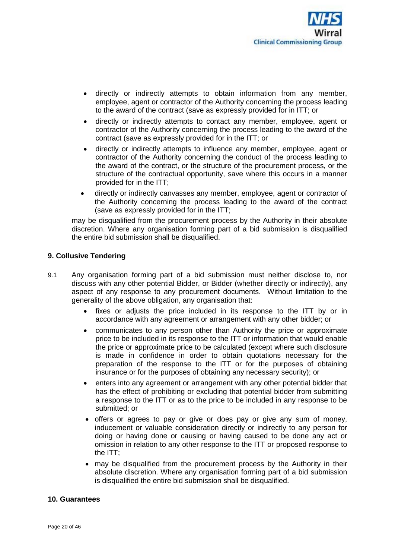

- directly or indirectly attempts to obtain information from any member, employee, agent or contractor of the Authority concerning the process leading to the award of the contract (save as expressly provided for in ITT; or
- directly or indirectly attempts to contact any member, employee, agent or contractor of the Authority concerning the process leading to the award of the contract (save as expressly provided for in the ITT; or
- directly or indirectly attempts to influence any member, employee, agent or contractor of the Authority concerning the conduct of the process leading to the award of the contract, or the structure of the procurement process, or the structure of the contractual opportunity, save where this occurs in a manner provided for in the ITT;
- directly or indirectly canvasses any member, employee, agent or contractor of the Authority concerning the process leading to the award of the contract (save as expressly provided for in the ITT;

may be disqualified from the procurement process by the Authority in their absolute discretion. Where any organisation forming part of a bid submission is disqualified the entire bid submission shall be disqualified.

## **9. Collusive Tendering**

- 9.1 Any organisation forming part of a bid submission must neither disclose to, nor discuss with any other potential Bidder, or Bidder (whether directly or indirectly), any aspect of any response to any procurement documents. Without limitation to the generality of the above obligation, any organisation that:
	- fixes or adjusts the price included in its response to the ITT by or in accordance with any agreement or arrangement with any other bidder; or
	- communicates to any person other than Authority the price or approximate price to be included in its response to the ITT or information that would enable the price or approximate price to be calculated (except where such disclosure is made in confidence in order to obtain quotations necessary for the preparation of the response to the ITT or for the purposes of obtaining insurance or for the purposes of obtaining any necessary security); or
	- enters into any agreement or arrangement with any other potential bidder that has the effect of prohibiting or excluding that potential bidder from submitting a response to the ITT or as to the price to be included in any response to be submitted; or
	- offers or agrees to pay or give or does pay or give any sum of money, inducement or valuable consideration directly or indirectly to any person for doing or having done or causing or having caused to be done any act or omission in relation to any other response to the ITT or proposed response to the ITT;
	- may be disqualified from the procurement process by the Authority in their absolute discretion. Where any organisation forming part of a bid submission is disqualified the entire bid submission shall be disqualified.

#### **10. Guarantees**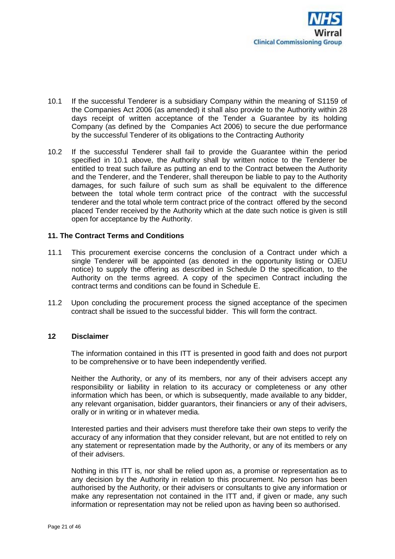

- 10.1 If the successful Tenderer is a subsidiary Company within the meaning of S1159 of the Companies Act 2006 (as amended) it shall also provide to the Authority within 28 days receipt of written acceptance of the Tender a Guarantee by its holding Company (as defined by the Companies Act 2006) to secure the due performance by the successful Tenderer of its obligations to the Contracting Authority
- 10.2 If the successful Tenderer shall fail to provide the Guarantee within the period specified in 10.1 above, the Authority shall by written notice to the Tenderer be entitled to treat such failure as putting an end to the Contract between the Authority and the Tenderer, and the Tenderer, shall thereupon be liable to pay to the Authority damages, for such failure of such sum as shall be equivalent to the difference between the total whole term contract price of the contract with the successful tenderer and the total whole term contract price of the contract offered by the second placed Tender received by the Authority which at the date such notice is given is still open for acceptance by the Authority.

## **11. The Contract Terms and Conditions**

- 11.1 This procurement exercise concerns the conclusion of a Contract under which a single Tenderer will be appointed (as denoted in the opportunity listing or OJEU notice) to supply the offering as described in Schedule D the specification, to the Authority on the terms agreed. A copy of the specimen Contract including the contract terms and conditions can be found in Schedule E.
- 11.2 Upon concluding the procurement process the signed acceptance of the specimen contract shall be issued to the successful bidder. This will form the contract.

#### **12 Disclaimer**

The information contained in this ITT is presented in good faith and does not purport to be comprehensive or to have been independently verified.

Neither the Authority, or any of its members, nor any of their advisers accept any responsibility or liability in relation to its accuracy or completeness or any other information which has been, or which is subsequently, made available to any bidder, any relevant organisation, bidder guarantors, their financiers or any of their advisers, orally or in writing or in whatever media.

Interested parties and their advisers must therefore take their own steps to verify the accuracy of any information that they consider relevant, but are not entitled to rely on any statement or representation made by the Authority, or any of its members or any of their advisers.

Nothing in this ITT is, nor shall be relied upon as, a promise or representation as to any decision by the Authority in relation to this procurement. No person has been authorised by the Authority, or their advisers or consultants to give any information or make any representation not contained in the ITT and, if given or made, any such information or representation may not be relied upon as having been so authorised.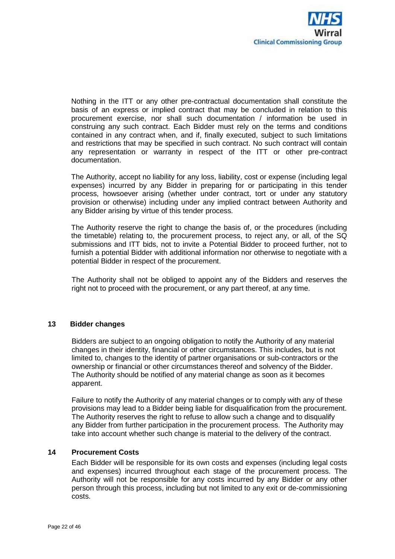

Nothing in the ITT or any other pre-contractual documentation shall constitute the basis of an express or implied contract that may be concluded in relation to this procurement exercise, nor shall such documentation / information be used in construing any such contract. Each Bidder must rely on the terms and conditions contained in any contract when, and if, finally executed, subject to such limitations and restrictions that may be specified in such contract. No such contract will contain any representation or warranty in respect of the ITT or other pre-contract documentation.

The Authority, accept no liability for any loss, liability, cost or expense (including legal expenses) incurred by any Bidder in preparing for or participating in this tender process, howsoever arising (whether under contract, tort or under any statutory provision or otherwise) including under any implied contract between Authority and any Bidder arising by virtue of this tender process.

The Authority reserve the right to change the basis of, or the procedures (including the timetable) relating to, the procurement process, to reject any, or all, of the SQ submissions and ITT bids, not to invite a Potential Bidder to proceed further, not to furnish a potential Bidder with additional information nor otherwise to negotiate with a potential Bidder in respect of the procurement.

The Authority shall not be obliged to appoint any of the Bidders and reserves the right not to proceed with the procurement, or any part thereof, at any time.

## **13 Bidder changes**

Bidders are subject to an ongoing obligation to notify the Authority of any material changes in their identity, financial or other circumstances. This includes, but is not limited to, changes to the identity of partner organisations or sub-contractors or the ownership or financial or other circumstances thereof and solvency of the Bidder. The Authority should be notified of any material change as soon as it becomes apparent.

Failure to notify the Authority of any material changes or to comply with any of these provisions may lead to a Bidder being liable for disqualification from the procurement. The Authority reserves the right to refuse to allow such a change and to disqualify any Bidder from further participation in the procurement process. The Authority may take into account whether such change is material to the delivery of the contract.

#### **14 Procurement Costs**

Each Bidder will be responsible for its own costs and expenses (including legal costs and expenses) incurred throughout each stage of the procurement process. The Authority will not be responsible for any costs incurred by any Bidder or any other person through this process, including but not limited to any exit or de-commissioning costs.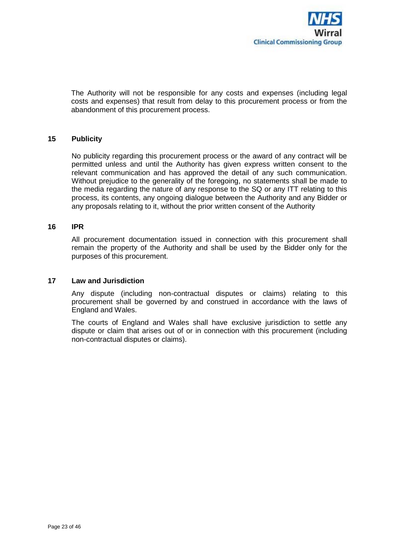

The Authority will not be responsible for any costs and expenses (including legal costs and expenses) that result from delay to this procurement process or from the abandonment of this procurement process.

#### **15 Publicity**

No publicity regarding this procurement process or the award of any contract will be permitted unless and until the Authority has given express written consent to the relevant communication and has approved the detail of any such communication. Without prejudice to the generality of the foregoing, no statements shall be made to the media regarding the nature of any response to the SQ or any ITT relating to this process, its contents, any ongoing dialogue between the Authority and any Bidder or any proposals relating to it, without the prior written consent of the Authority

#### **16 IPR**

All procurement documentation issued in connection with this procurement shall remain the property of the Authority and shall be used by the Bidder only for the purposes of this procurement.

## **17 Law and Jurisdiction**

Any dispute (including non-contractual disputes or claims) relating to this procurement shall be governed by and construed in accordance with the laws of England and Wales.

The courts of England and Wales shall have exclusive jurisdiction to settle any dispute or claim that arises out of or in connection with this procurement (including non-contractual disputes or claims).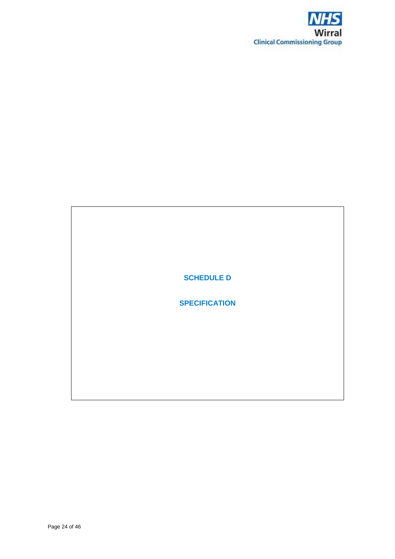

**SCHEDULE D**

**SPECIFICATION**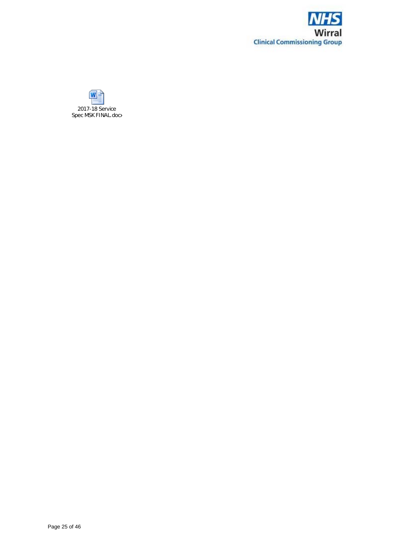

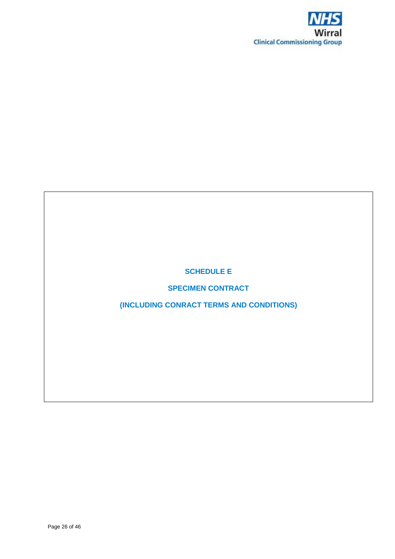

**SCHEDULE E**

**SPECIMEN CONTRACT**

**(INCLUDING CONRACT TERMS AND CONDITIONS)**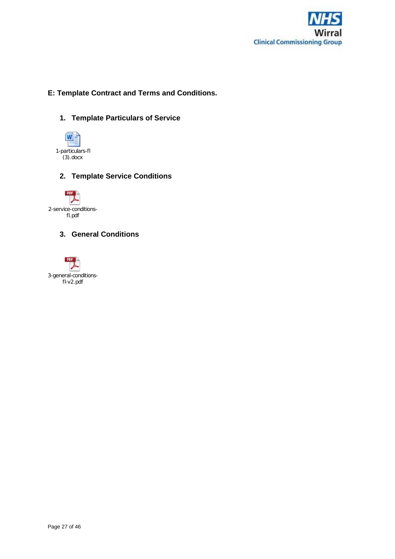

# **E: Template Contract and Terms and Conditions.**

**1. Template Particulars of Service**



**2. Template Service Conditions**



# **3. General Conditions**

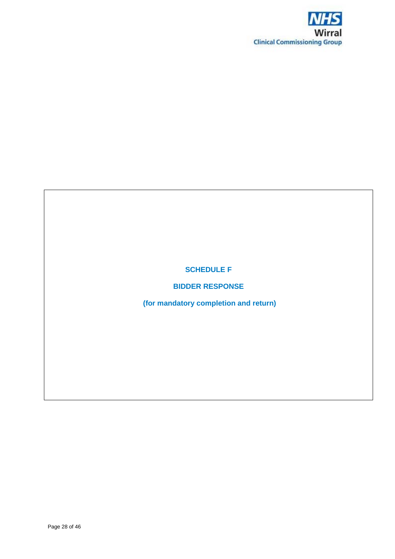

**SCHEDULE F**

**BIDDER RESPONSE**

**(for mandatory completion and return)**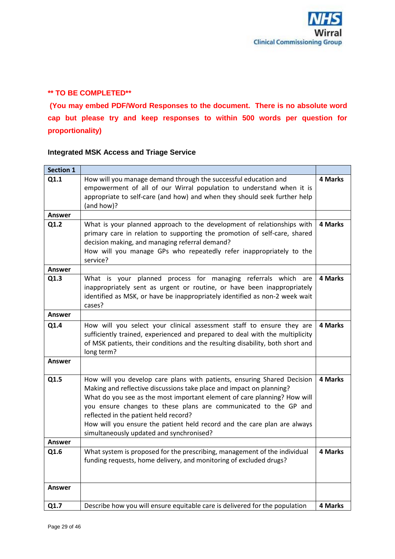# **\*\* TO BE COMPLETED\*\***

**(You may embed PDF/Word Responses to the document. There is no absolute word cap but please try and keep responses to within 500 words per question for proportionality)**

# **Integrated MSK Access and Triage Service**

| <b>Section 1</b> |                                                                                                                                                                                                                                                                                                                                                                                                                                                                  |         |
|------------------|------------------------------------------------------------------------------------------------------------------------------------------------------------------------------------------------------------------------------------------------------------------------------------------------------------------------------------------------------------------------------------------------------------------------------------------------------------------|---------|
| Q1.1             | How will you manage demand through the successful education and<br>empowerment of all of our Wirral population to understand when it is<br>appropriate to self-care (and how) and when they should seek further help<br>(and how)?                                                                                                                                                                                                                               | 4 Marks |
| Answer           |                                                                                                                                                                                                                                                                                                                                                                                                                                                                  |         |
| Q1.2             | What is your planned approach to the development of relationships with<br>primary care in relation to supporting the promotion of self-care, shared<br>decision making, and managing referral demand?<br>How will you manage GPs who repeatedly refer inappropriately to the<br>service?                                                                                                                                                                         | 4 Marks |
| <b>Answer</b>    |                                                                                                                                                                                                                                                                                                                                                                                                                                                                  |         |
| Q1.3             | What is your planned process for managing referrals which are<br>inappropriately sent as urgent or routine, or have been inappropriately<br>identified as MSK, or have be inappropriately identified as non-2 week wait<br>cases?                                                                                                                                                                                                                                | 4 Marks |
| Answer           |                                                                                                                                                                                                                                                                                                                                                                                                                                                                  |         |
| Q1.4             | How will you select your clinical assessment staff to ensure they are<br>sufficiently trained, experienced and prepared to deal with the multiplicity<br>of MSK patients, their conditions and the resulting disability, both short and<br>long term?                                                                                                                                                                                                            | 4 Marks |
| <b>Answer</b>    |                                                                                                                                                                                                                                                                                                                                                                                                                                                                  |         |
| Q1.5             | How will you develop care plans with patients, ensuring Shared Decision<br>Making and reflective discussions take place and impact on planning?<br>What do you see as the most important element of care planning? How will<br>you ensure changes to these plans are communicated to the GP and<br>reflected in the patient held record?<br>How will you ensure the patient held record and the care plan are always<br>simultaneously updated and synchronised? | 4 Marks |
| Answer           |                                                                                                                                                                                                                                                                                                                                                                                                                                                                  |         |
| Q1.6             | What system is proposed for the prescribing, management of the individual<br>funding requests, home delivery, and monitoring of excluded drugs?                                                                                                                                                                                                                                                                                                                  | 4 Marks |
| Answer           |                                                                                                                                                                                                                                                                                                                                                                                                                                                                  |         |
| Q1.7             | Describe how you will ensure equitable care is delivered for the population                                                                                                                                                                                                                                                                                                                                                                                      | 4 Marks |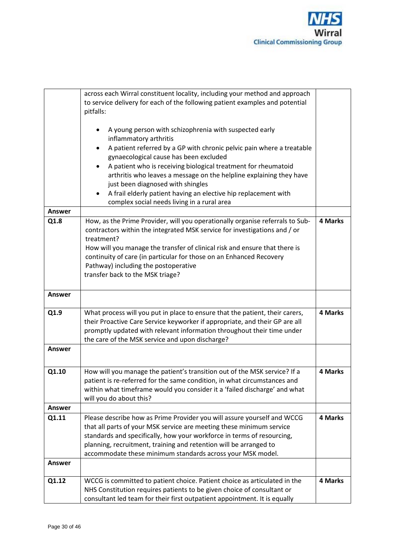

|               | across each Wirral constituent locality, including your method and approach                                                                           |         |
|---------------|-------------------------------------------------------------------------------------------------------------------------------------------------------|---------|
|               | to service delivery for each of the following patient examples and potential                                                                          |         |
|               | pitfalls:                                                                                                                                             |         |
|               |                                                                                                                                                       |         |
|               | A young person with schizophrenia with suspected early                                                                                                |         |
|               | inflammatory arthritis                                                                                                                                |         |
|               | A patient referred by a GP with chronic pelvic pain where a treatable                                                                                 |         |
|               | gynaecological cause has been excluded                                                                                                                |         |
|               | A patient who is receiving biological treatment for rheumatoid                                                                                        |         |
|               | arthritis who leaves a message on the helpline explaining they have                                                                                   |         |
|               | just been diagnosed with shingles                                                                                                                     |         |
|               | A frail elderly patient having an elective hip replacement with<br>٠                                                                                  |         |
|               | complex social needs living in a rural area                                                                                                           |         |
| <b>Answer</b> |                                                                                                                                                       |         |
| Q1.8          | How, as the Prime Provider, will you operationally organise referrals to Sub-                                                                         | 4 Marks |
|               | contractors within the integrated MSK service for investigations and / or                                                                             |         |
|               | treatment?                                                                                                                                            |         |
|               | How will you manage the transfer of clinical risk and ensure that there is                                                                            |         |
|               | continuity of care (in particular for those on an Enhanced Recovery                                                                                   |         |
|               | Pathway) including the postoperative                                                                                                                  |         |
|               | transfer back to the MSK triage?                                                                                                                      |         |
|               |                                                                                                                                                       |         |
| <b>Answer</b> |                                                                                                                                                       |         |
|               |                                                                                                                                                       |         |
| Q1.9          | What process will you put in place to ensure that the patient, their carers,                                                                          | 4 Marks |
|               | their Proactive Care Service keyworker if appropriate, and their GP are all                                                                           |         |
|               | promptly updated with relevant information throughout their time under                                                                                |         |
|               | the care of the MSK service and upon discharge?                                                                                                       |         |
| <b>Answer</b> |                                                                                                                                                       |         |
|               |                                                                                                                                                       |         |
| Q1.10         |                                                                                                                                                       | 4 Marks |
|               | How will you manage the patient's transition out of the MSK service? If a<br>patient is re-referred for the same condition, in what circumstances and |         |
|               | within what timeframe would you consider it a 'failed discharge' and what                                                                             |         |
|               | will you do about this?                                                                                                                               |         |
| Answer        |                                                                                                                                                       |         |
| Q1.11         | Please describe how as Prime Provider you will assure yourself and WCCG                                                                               | 4 Marks |
|               | that all parts of your MSK service are meeting these minimum service                                                                                  |         |
|               | standards and specifically, how your workforce in terms of resourcing,                                                                                |         |
|               | planning, recruitment, training and retention will be arranged to                                                                                     |         |
|               | accommodate these minimum standards across your MSK model.                                                                                            |         |
| <b>Answer</b> |                                                                                                                                                       |         |
|               |                                                                                                                                                       |         |
| Q1.12         | WCCG is committed to patient choice. Patient choice as articulated in the                                                                             | 4 Marks |
|               | NHS Constitution requires patients to be given choice of consultant or                                                                                |         |
|               | consultant led team for their first outpatient appointment. It is equally                                                                             |         |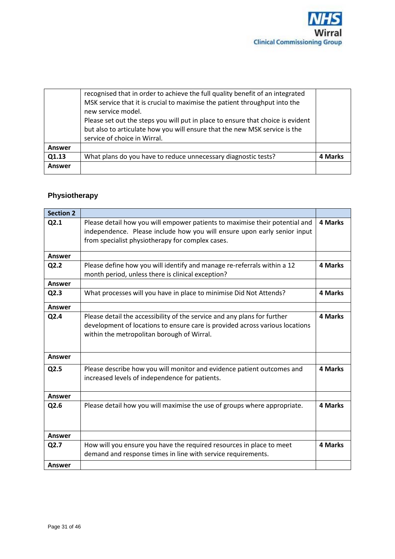

| Answer |                                                                                                                                                                                                                                                                                                                                                                                    |         |
|--------|------------------------------------------------------------------------------------------------------------------------------------------------------------------------------------------------------------------------------------------------------------------------------------------------------------------------------------------------------------------------------------|---------|
| Q1.13  | What plans do you have to reduce unnecessary diagnostic tests?                                                                                                                                                                                                                                                                                                                     | 4 Marks |
| Answer |                                                                                                                                                                                                                                                                                                                                                                                    |         |
|        | recognised that in order to achieve the full quality benefit of an integrated<br>MSK service that it is crucial to maximise the patient throughput into the<br>new service model.<br>Please set out the steps you will put in place to ensure that choice is evident<br>but also to articulate how you will ensure that the new MSK service is the<br>service of choice in Wirral. |         |

# **Physiotherapy**

| <b>Section 2</b> |                                                                                                                                                                                                             |                |
|------------------|-------------------------------------------------------------------------------------------------------------------------------------------------------------------------------------------------------------|----------------|
| Q2.1             | Please detail how you will empower patients to maximise their potential and<br>independence. Please include how you will ensure upon early senior input<br>from specialist physiotherapy for complex cases. | <b>4 Marks</b> |
| Answer           |                                                                                                                                                                                                             |                |
| Q2.2             | Please define how you will identify and manage re-referrals within a 12<br>month period, unless there is clinical exception?                                                                                | 4 Marks        |
| Answer           |                                                                                                                                                                                                             |                |
| Q2.3             | What processes will you have in place to minimise Did Not Attends?                                                                                                                                          | 4 Marks        |
| Answer           |                                                                                                                                                                                                             |                |
| Q2.4             | Please detail the accessibility of the service and any plans for further<br>development of locations to ensure care is provided across various locations<br>within the metropolitan borough of Wirral.      | 4 Marks        |
| Answer           |                                                                                                                                                                                                             |                |
| Q2.5             | Please describe how you will monitor and evidence patient outcomes and<br>increased levels of independence for patients.                                                                                    | 4 Marks        |
| Answer           |                                                                                                                                                                                                             |                |
| Q2.6             | Please detail how you will maximise the use of groups where appropriate.                                                                                                                                    | 4 Marks        |
| Answer           |                                                                                                                                                                                                             |                |
| Q2.7             | How will you ensure you have the required resources in place to meet<br>demand and response times in line with service requirements.                                                                        | <b>4 Marks</b> |
| Answer           |                                                                                                                                                                                                             |                |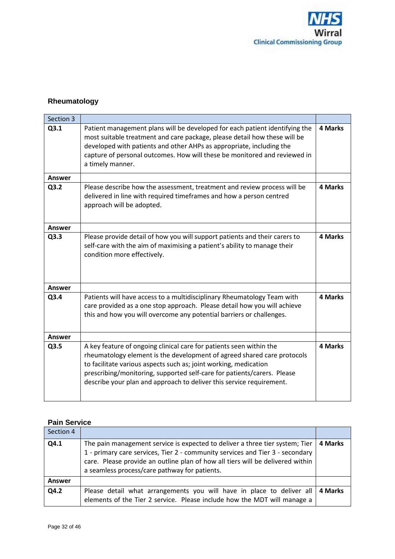

# **Rheumatology**

| Section 3     |                                                                                                                                                                                                                                                                                                                                                                       |         |
|---------------|-----------------------------------------------------------------------------------------------------------------------------------------------------------------------------------------------------------------------------------------------------------------------------------------------------------------------------------------------------------------------|---------|
| Q3.1          | Patient management plans will be developed for each patient identifying the<br>most suitable treatment and care package, please detail how these will be<br>developed with patients and other AHPs as appropriate, including the<br>capture of personal outcomes. How will these be monitored and reviewed in<br>a timely manner.                                     | 4 Marks |
| Answer        |                                                                                                                                                                                                                                                                                                                                                                       |         |
| Q3.2          | Please describe how the assessment, treatment and review process will be<br>delivered in line with required timeframes and how a person centred<br>approach will be adopted.                                                                                                                                                                                          | 4 Marks |
| Answer        |                                                                                                                                                                                                                                                                                                                                                                       |         |
| Q3.3          | Please provide detail of how you will support patients and their carers to<br>self-care with the aim of maximising a patient's ability to manage their<br>condition more effectively.                                                                                                                                                                                 | 4 Marks |
| Answer        |                                                                                                                                                                                                                                                                                                                                                                       |         |
| Q3.4          | Patients will have access to a multidisciplinary Rheumatology Team with<br>care provided as a one stop approach. Please detail how you will achieve<br>this and how you will overcome any potential barriers or challenges.                                                                                                                                           | 4 Marks |
| <b>Answer</b> |                                                                                                                                                                                                                                                                                                                                                                       |         |
| Q3.5          | A key feature of ongoing clinical care for patients seen within the<br>rheumatology element is the development of agreed shared care protocols<br>to facilitate various aspects such as; joint working, medication<br>prescribing/monitoring, supported self-care for patients/carers. Please<br>describe your plan and approach to deliver this service requirement. | 4 Marks |

# **Pain Service**

| Section 4 |                                                                                                                                                                                                                                                                                                  |         |
|-----------|--------------------------------------------------------------------------------------------------------------------------------------------------------------------------------------------------------------------------------------------------------------------------------------------------|---------|
| Q4.1      | The pain management service is expected to deliver a three tier system; Tier<br>1 - primary care services, Tier 2 - community services and Tier 3 - secondary<br>care. Please provide an outline plan of how all tiers will be delivered within<br>a seamless process/care pathway for patients. | 4 Marks |
| Answer    |                                                                                                                                                                                                                                                                                                  |         |
| Q4.2      | Please detail what arrangements you will have in place to deliver all<br>elements of the Tier 2 service. Please include how the MDT will manage a                                                                                                                                                | 4 Marks |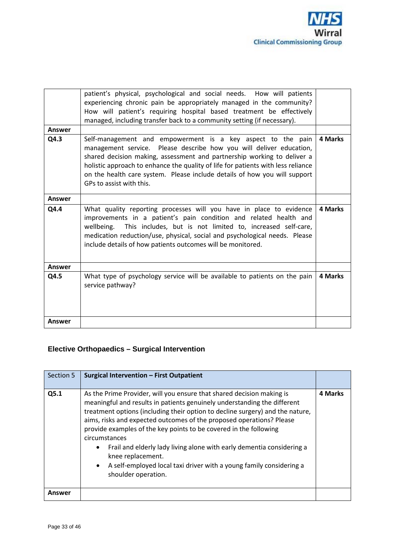

| <b>Answer</b> | patient's physical, psychological and social needs. How will patients<br>experiencing chronic pain be appropriately managed in the community?<br>How will patient's requiring hospital based treatment be effectively<br>managed, including transfer back to a community setting (if necessary).                                                                                                           |         |
|---------------|------------------------------------------------------------------------------------------------------------------------------------------------------------------------------------------------------------------------------------------------------------------------------------------------------------------------------------------------------------------------------------------------------------|---------|
| Q4.3          | Self-management and empowerment is a key aspect to the pain<br>management service. Please describe how you will deliver education,<br>shared decision making, assessment and partnership working to deliver a<br>holistic approach to enhance the quality of life for patients with less reliance<br>on the health care system. Please include details of how you will support<br>GPs to assist with this. | 4 Marks |
| <b>Answer</b> |                                                                                                                                                                                                                                                                                                                                                                                                            |         |
| Q4.4          | What quality reporting processes will you have in place to evidence<br>improvements in a patient's pain condition and related health and<br>wellbeing. This includes, but is not limited to, increased self-care,<br>medication reduction/use, physical, social and psychological needs. Please<br>include details of how patients outcomes will be monitored.                                             | 4 Marks |
| Answer        |                                                                                                                                                                                                                                                                                                                                                                                                            |         |
| Q4.5          | What type of psychology service will be available to patients on the pain<br>service pathway?                                                                                                                                                                                                                                                                                                              | 4 Marks |
| <b>Answer</b> |                                                                                                                                                                                                                                                                                                                                                                                                            |         |

# **Elective Orthopaedics – Surgical Intervention**

| Section 5 | <b>Surgical Intervention - First Outpatient</b>                                                                                                                                                                                                                                                                                                                                                                                                                                                                                                                                              |         |
|-----------|----------------------------------------------------------------------------------------------------------------------------------------------------------------------------------------------------------------------------------------------------------------------------------------------------------------------------------------------------------------------------------------------------------------------------------------------------------------------------------------------------------------------------------------------------------------------------------------------|---------|
| Q5.1      | As the Prime Provider, will you ensure that shared decision making is<br>meaningful and results in patients genuinely understanding the different<br>treatment options (including their option to decline surgery) and the nature,<br>aims, risks and expected outcomes of the proposed operations? Please<br>provide examples of the key points to be covered in the following<br>circumstances<br>Frail and elderly lady living alone with early dementia considering a<br>knee replacement.<br>A self-employed local taxi driver with a young family considering a<br>shoulder operation. | 4 Marks |
| Answer    |                                                                                                                                                                                                                                                                                                                                                                                                                                                                                                                                                                                              |         |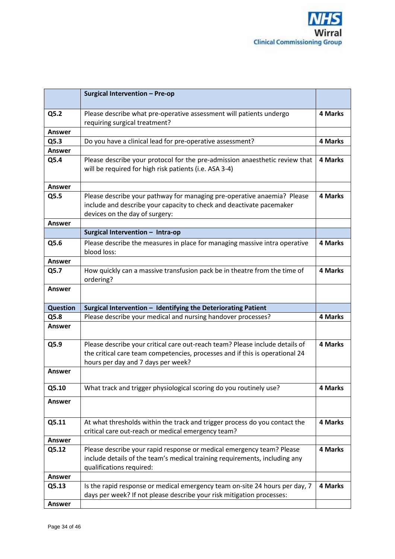

|                 | Surgical Intervention - Pre-op                                                                                                                                                    |                |
|-----------------|-----------------------------------------------------------------------------------------------------------------------------------------------------------------------------------|----------------|
| Q5.2            | Please describe what pre-operative assessment will patients undergo<br>requiring surgical treatment?                                                                              | 4 Marks        |
| <b>Answer</b>   |                                                                                                                                                                                   |                |
| Q5.3            | Do you have a clinical lead for pre-operative assessment?                                                                                                                         | 4 Marks        |
| Answer          |                                                                                                                                                                                   |                |
| Q5.4            | Please describe your protocol for the pre-admission anaesthetic review that<br>will be required for high risk patients (i.e. ASA 3-4)                                             | 4 Marks        |
| Answer          |                                                                                                                                                                                   |                |
| Q5.5            | Please describe your pathway for managing pre-operative anaemia? Please<br>include and describe your capacity to check and deactivate pacemaker<br>devices on the day of surgery: | 4 Marks        |
| Answer          |                                                                                                                                                                                   |                |
|                 | Surgical Intervention - Intra-op                                                                                                                                                  |                |
| Q5.6            | Please describe the measures in place for managing massive intra operative<br>blood loss:                                                                                         | 4 Marks        |
| <b>Answer</b>   |                                                                                                                                                                                   |                |
| Q5.7            | How quickly can a massive transfusion pack be in theatre from the time of<br>ordering?                                                                                            | <b>4 Marks</b> |
| Answer          |                                                                                                                                                                                   |                |
| <b>Question</b> | Surgical Intervention - Identifying the Deteriorating Patient                                                                                                                     |                |
| Q5.8            | Please describe your medical and nursing handover processes?                                                                                                                      | <b>4 Marks</b> |
| <b>Answer</b>   |                                                                                                                                                                                   |                |
| Q5.9            | Please describe your critical care out-reach team? Please include details of                                                                                                      | <b>4 Marks</b> |
|                 | the critical care team competencies, processes and if this is operational 24<br>hours per day and 7 days per week?                                                                |                |
| <b>Answer</b>   |                                                                                                                                                                                   |                |
| Q5.10           | What track and trigger physiological scoring do you routinely use?                                                                                                                | 4 Marks        |
| <b>Answer</b>   |                                                                                                                                                                                   |                |
| Q5.11           | At what thresholds within the track and trigger process do you contact the<br>critical care out-reach or medical emergency team?                                                  | 4 Marks        |
| <b>Answer</b>   |                                                                                                                                                                                   |                |
| Q5.12           | Please describe your rapid response or medical emergency team? Please<br>include details of the team's medical training requirements, including any<br>qualifications required:   | 4 Marks        |
| Answer          |                                                                                                                                                                                   |                |
| Q5.13           | Is the rapid response or medical emergency team on-site 24 hours per day, 7<br>days per week? If not please describe your risk mitigation processes:                              | 4 Marks        |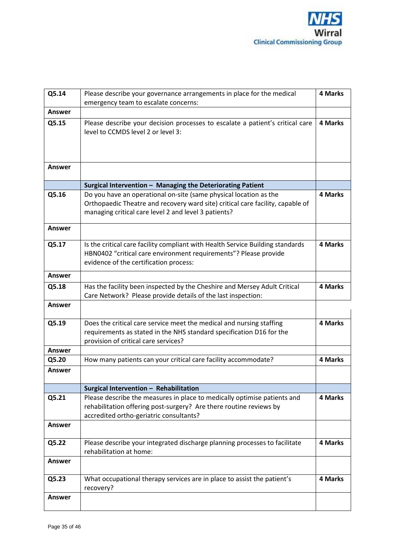

| Q5.14         | Please describe your governance arrangements in place for the medical          | 4 Marks |
|---------------|--------------------------------------------------------------------------------|---------|
|               | emergency team to escalate concerns:                                           |         |
|               |                                                                                |         |
| <b>Answer</b> |                                                                                |         |
| Q5.15         | Please describe your decision processes to escalate a patient's critical care  | 4 Marks |
|               | level to CCMDS level 2 or level 3:                                             |         |
|               |                                                                                |         |
|               |                                                                                |         |
|               |                                                                                |         |
|               |                                                                                |         |
|               |                                                                                |         |
| <b>Answer</b> |                                                                                |         |
|               |                                                                                |         |
|               | Surgical Intervention - Managing the Deteriorating Patient                     |         |
| Q5.16         | Do you have an operational on-site (same physical location as the              | 4 Marks |
|               | Orthopaedic Theatre and recovery ward site) critical care facility, capable of |         |
|               |                                                                                |         |
|               | managing critical care level 2 and level 3 patients?                           |         |
|               |                                                                                |         |
| Answer        |                                                                                |         |
|               |                                                                                |         |
| Q5.17         | Is the critical care facility compliant with Health Service Building standards | 4 Marks |
|               | HBN0402 "critical care environment requirements"? Please provide               |         |
|               |                                                                                |         |
|               | evidence of the certification process:                                         |         |
| <b>Answer</b> |                                                                                |         |
|               |                                                                                |         |
| Q5.18         | Has the facility been inspected by the Cheshire and Mersey Adult Critical      | 4 Marks |
|               | Care Network? Please provide details of the last inspection:                   |         |
| <b>Answer</b> |                                                                                |         |
|               |                                                                                |         |
|               |                                                                                |         |
| Q5.19         | Does the critical care service meet the medical and nursing staffing           | 4 Marks |
|               | requirements as stated in the NHS standard specification D16 for the           |         |
|               | provision of critical care services?                                           |         |
|               |                                                                                |         |
| Answer        |                                                                                |         |
| Q5.20         | How many patients can your critical care facility accommodate?                 | 4 Marks |
| Answer        |                                                                                |         |
|               |                                                                                |         |
|               |                                                                                |         |
|               | Surgical Intervention - Rehabilitation                                         |         |
| Q5.21         | Please describe the measures in place to medically optimise patients and       | 4 Marks |
|               | rehabilitation offering post-surgery? Are there routine reviews by             |         |
|               | accredited ortho-geriatric consultants?                                        |         |
| <b>Answer</b> |                                                                                |         |
|               |                                                                                |         |
|               |                                                                                |         |
| Q5.22         | Please describe your integrated discharge planning processes to facilitate     | 4 Marks |
|               | rehabilitation at home:                                                        |         |
| Answer        |                                                                                |         |
|               |                                                                                |         |
|               |                                                                                |         |
| Q5.23         | What occupational therapy services are in place to assist the patient's        | 4 Marks |
|               | recovery?                                                                      |         |
| <b>Answer</b> |                                                                                |         |
|               |                                                                                |         |
|               |                                                                                |         |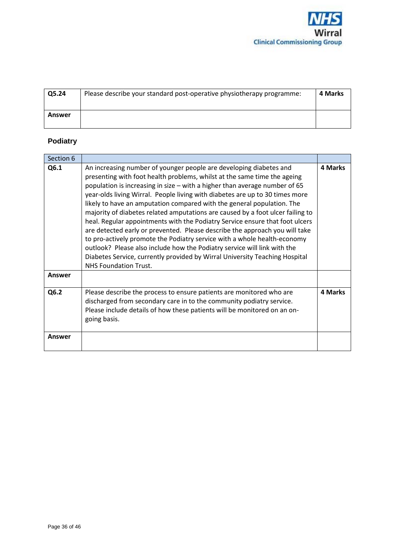

| Q5.24  | Please describe your standard post-operative physiotherapy programme: | 4 Marks |
|--------|-----------------------------------------------------------------------|---------|
| Answer |                                                                       |         |

# **Podiatry**

| Section 6     |                                                                                                                                                                                                                                                                                                                                                                                                                                                                                                                                                                                                                                                                                                                                                                                                                                                                                                                |         |
|---------------|----------------------------------------------------------------------------------------------------------------------------------------------------------------------------------------------------------------------------------------------------------------------------------------------------------------------------------------------------------------------------------------------------------------------------------------------------------------------------------------------------------------------------------------------------------------------------------------------------------------------------------------------------------------------------------------------------------------------------------------------------------------------------------------------------------------------------------------------------------------------------------------------------------------|---------|
| Q6.1          | An increasing number of younger people are developing diabetes and<br>presenting with foot health problems, whilst at the same time the ageing<br>population is increasing in size – with a higher than average number of 65<br>year-olds living Wirral. People living with diabetes are up to 30 times more<br>likely to have an amputation compared with the general population. The<br>majority of diabetes related amputations are caused by a foot ulcer failing to<br>heal. Regular appointments with the Podiatry Service ensure that foot ulcers<br>are detected early or prevented. Please describe the approach you will take<br>to pro-actively promote the Podiatry service with a whole health-economy<br>outlook? Please also include how the Podiatry service will link with the<br>Diabetes Service, currently provided by Wirral University Teaching Hospital<br><b>NHS Foundation Trust.</b> | 4 Marks |
| Answer        |                                                                                                                                                                                                                                                                                                                                                                                                                                                                                                                                                                                                                                                                                                                                                                                                                                                                                                                |         |
| Q6.2          | Please describe the process to ensure patients are monitored who are<br>discharged from secondary care in to the community podiatry service.<br>Please include details of how these patients will be monitored on an on-<br>going basis.                                                                                                                                                                                                                                                                                                                                                                                                                                                                                                                                                                                                                                                                       | 4 Marks |
| <b>Answer</b> |                                                                                                                                                                                                                                                                                                                                                                                                                                                                                                                                                                                                                                                                                                                                                                                                                                                                                                                |         |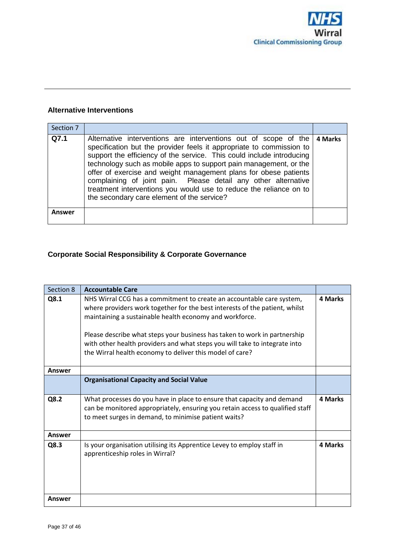

## **Alternative Interventions**

| Section 7 |                                                                                                                                                                                                                                                                                                                                                                                                                                                                                                                                                 |         |
|-----------|-------------------------------------------------------------------------------------------------------------------------------------------------------------------------------------------------------------------------------------------------------------------------------------------------------------------------------------------------------------------------------------------------------------------------------------------------------------------------------------------------------------------------------------------------|---------|
| Q7.1      | Alternative interventions are interventions out of scope of the<br>specification but the provider feels it appropriate to commission to<br>support the efficiency of the service. This could include introducing<br>technology such as mobile apps to support pain management, or the<br>offer of exercise and weight management plans for obese patients<br>complaining of joint pain. Please detail any other alternative<br>treatment interventions you would use to reduce the reliance on to<br>the secondary care element of the service? | 4 Marks |
| Answer    |                                                                                                                                                                                                                                                                                                                                                                                                                                                                                                                                                 |         |

# **Corporate Social Responsibility & Corporate Governance**

| Section 8     | <b>Accountable Care</b>                                                                                                                                                                                                                                                                                                                                                                                                                |         |
|---------------|----------------------------------------------------------------------------------------------------------------------------------------------------------------------------------------------------------------------------------------------------------------------------------------------------------------------------------------------------------------------------------------------------------------------------------------|---------|
| Q8.1          | NHS Wirral CCG has a commitment to create an accountable care system,<br>where providers work together for the best interests of the patient, whilst<br>maintaining a sustainable health economy and workforce.<br>Please describe what steps your business has taken to work in partnership<br>with other health providers and what steps you will take to integrate into<br>the Wirral health economy to deliver this model of care? | 4 Marks |
| <b>Answer</b> |                                                                                                                                                                                                                                                                                                                                                                                                                                        |         |
|               | <b>Organisational Capacity and Social Value</b>                                                                                                                                                                                                                                                                                                                                                                                        |         |
| Q8.2          | What processes do you have in place to ensure that capacity and demand<br>can be monitored appropriately, ensuring you retain access to qualified staff<br>to meet surges in demand, to minimise patient waits?                                                                                                                                                                                                                        | 4 Marks |
| <b>Answer</b> |                                                                                                                                                                                                                                                                                                                                                                                                                                        |         |
| Q8.3          | Is your organisation utilising its Apprentice Levey to employ staff in<br>apprenticeship roles in Wirral?                                                                                                                                                                                                                                                                                                                              | 4 Marks |
| Answer        |                                                                                                                                                                                                                                                                                                                                                                                                                                        |         |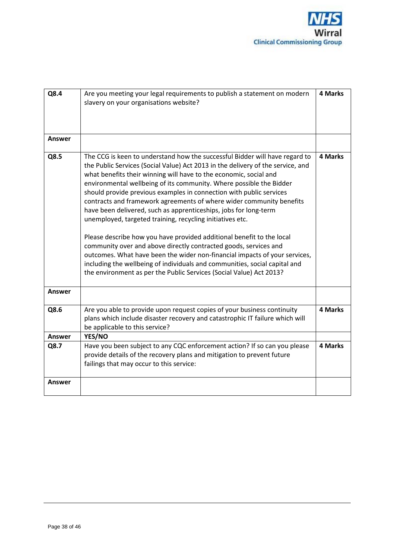

| Q8.4   | Are you meeting your legal requirements to publish a statement on modern<br>slavery on your organisations website?                                                                                                                                                                                                                                                                                                                                                                                                                                                                                                                                                                                                                                                                                                                                                                                                                                                         | <b>4 Marks</b> |
|--------|----------------------------------------------------------------------------------------------------------------------------------------------------------------------------------------------------------------------------------------------------------------------------------------------------------------------------------------------------------------------------------------------------------------------------------------------------------------------------------------------------------------------------------------------------------------------------------------------------------------------------------------------------------------------------------------------------------------------------------------------------------------------------------------------------------------------------------------------------------------------------------------------------------------------------------------------------------------------------|----------------|
| Answer |                                                                                                                                                                                                                                                                                                                                                                                                                                                                                                                                                                                                                                                                                                                                                                                                                                                                                                                                                                            |                |
| Q8.5   | The CCG is keen to understand how the successful Bidder will have regard to<br>the Public Services (Social Value) Act 2013 in the delivery of the service, and<br>what benefits their winning will have to the economic, social and<br>environmental wellbeing of its community. Where possible the Bidder<br>should provide previous examples in connection with public services<br>contracts and framework agreements of where wider community benefits<br>have been delivered, such as apprenticeships, jobs for long-term<br>unemployed, targeted training, recycling initiatives etc.<br>Please describe how you have provided additional benefit to the local<br>community over and above directly contracted goods, services and<br>outcomes. What have been the wider non-financial impacts of your services,<br>including the wellbeing of individuals and communities, social capital and<br>the environment as per the Public Services (Social Value) Act 2013? | 4 Marks        |
| Answer |                                                                                                                                                                                                                                                                                                                                                                                                                                                                                                                                                                                                                                                                                                                                                                                                                                                                                                                                                                            |                |
| Q8.6   | Are you able to provide upon request copies of your business continuity<br>plans which include disaster recovery and catastrophic IT failure which will<br>be applicable to this service?                                                                                                                                                                                                                                                                                                                                                                                                                                                                                                                                                                                                                                                                                                                                                                                  | 4 Marks        |
| Answer | YES/NO                                                                                                                                                                                                                                                                                                                                                                                                                                                                                                                                                                                                                                                                                                                                                                                                                                                                                                                                                                     |                |
| Q8.7   | Have you been subject to any CQC enforcement action? If so can you please<br>provide details of the recovery plans and mitigation to prevent future<br>failings that may occur to this service:                                                                                                                                                                                                                                                                                                                                                                                                                                                                                                                                                                                                                                                                                                                                                                            | 4 Marks        |
| Answer |                                                                                                                                                                                                                                                                                                                                                                                                                                                                                                                                                                                                                                                                                                                                                                                                                                                                                                                                                                            |                |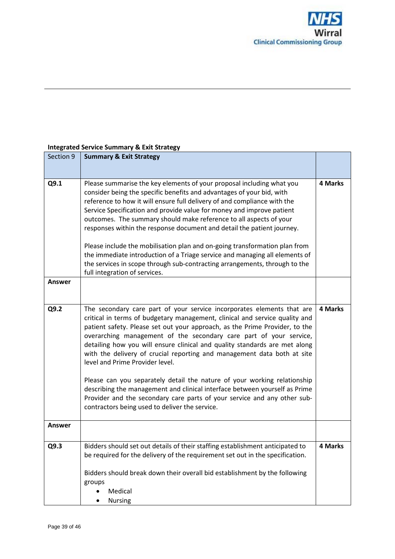

## **Integrated Service Summary & Exit Strategy**

| Section 9     | <b>Summary &amp; Exit Strategy</b>                                                                                                                                                                                                                                                                                                                                                                                                                                                                                                                                                                                                                                                                                                                                                             |                |
|---------------|------------------------------------------------------------------------------------------------------------------------------------------------------------------------------------------------------------------------------------------------------------------------------------------------------------------------------------------------------------------------------------------------------------------------------------------------------------------------------------------------------------------------------------------------------------------------------------------------------------------------------------------------------------------------------------------------------------------------------------------------------------------------------------------------|----------------|
|               |                                                                                                                                                                                                                                                                                                                                                                                                                                                                                                                                                                                                                                                                                                                                                                                                |                |
| Q9.1          | Please summarise the key elements of your proposal including what you<br>consider being the specific benefits and advantages of your bid, with<br>reference to how it will ensure full delivery of and compliance with the<br>Service Specification and provide value for money and improve patient<br>outcomes. The summary should make reference to all aspects of your<br>responses within the response document and detail the patient journey.<br>Please include the mobilisation plan and on-going transformation plan from<br>the immediate introduction of a Triage service and managing all elements of<br>the services in scope through sub-contracting arrangements, through to the<br>full integration of services.                                                                | <b>4 Marks</b> |
| Answer        |                                                                                                                                                                                                                                                                                                                                                                                                                                                                                                                                                                                                                                                                                                                                                                                                |                |
| Q9.2          | The secondary care part of your service incorporates elements that are<br>critical in terms of budgetary management, clinical and service quality and<br>patient safety. Please set out your approach, as the Prime Provider, to the<br>overarching management of the secondary care part of your service,<br>detailing how you will ensure clinical and quality standards are met along<br>with the delivery of crucial reporting and management data both at site<br>level and Prime Provider level.<br>Please can you separately detail the nature of your working relationship<br>describing the management and clinical interface between yourself as Prime<br>Provider and the secondary care parts of your service and any other sub-<br>contractors being used to deliver the service. | 4 Marks        |
| <b>Answer</b> |                                                                                                                                                                                                                                                                                                                                                                                                                                                                                                                                                                                                                                                                                                                                                                                                |                |
| Q9.3          | Bidders should set out details of their staffing establishment anticipated to<br>be required for the delivery of the requirement set out in the specification.<br>Bidders should break down their overall bid establishment by the following<br>groups<br>Medical<br><b>Nursing</b>                                                                                                                                                                                                                                                                                                                                                                                                                                                                                                            | <b>4 Marks</b> |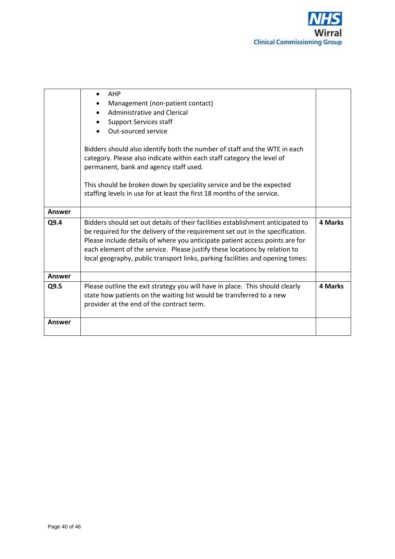

|               | AHP<br>Management (non-patient contact)<br><b>Administrative and Clerical</b><br><b>Support Services staff</b><br>٠<br>Out-sourced service                                                                                                                                                                                                                                                                       |                |
|---------------|------------------------------------------------------------------------------------------------------------------------------------------------------------------------------------------------------------------------------------------------------------------------------------------------------------------------------------------------------------------------------------------------------------------|----------------|
|               | Bidders should also identify both the number of staff and the WTE in each<br>category. Please also indicate within each staff category the level of<br>permanent, bank and agency staff used.                                                                                                                                                                                                                    |                |
|               | This should be broken down by speciality service and be the expected<br>staffing levels in use for at least the first 18 months of the service.                                                                                                                                                                                                                                                                  |                |
| <b>Answer</b> |                                                                                                                                                                                                                                                                                                                                                                                                                  |                |
| Q9.4          | Bidders should set out details of their facilities establishment anticipated to<br>be required for the delivery of the requirement set out in the specification.<br>Please include details of where you anticipate patient access points are for<br>each element of the service. Please justify these locations by relation to<br>local geography, public transport links, parking facilities and opening times: | <b>4 Marks</b> |
| Answer        |                                                                                                                                                                                                                                                                                                                                                                                                                  |                |
| Q9.5          | Please outline the exit strategy you will have in place. This should clearly<br>state how patients on the waiting list would be transferred to a new<br>provider at the end of the contract term.                                                                                                                                                                                                                | 4 Marks        |
| Answer        |                                                                                                                                                                                                                                                                                                                                                                                                                  |                |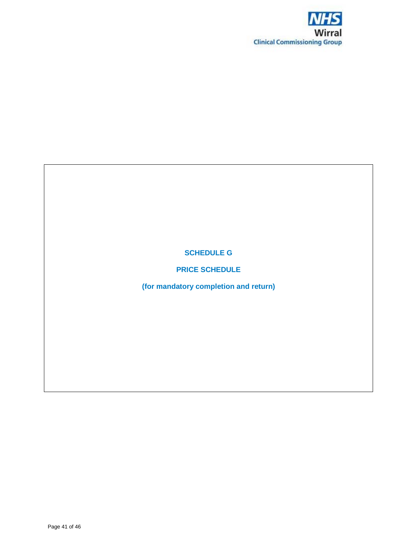

**SCHEDULE G**

**PRICE SCHEDULE**

**(for mandatory completion and return)**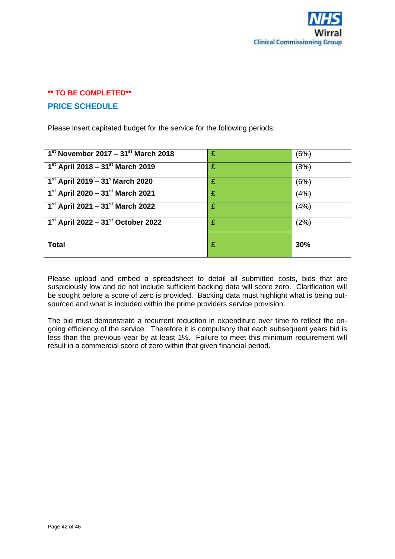

# **\*\* TO BE COMPLETED\*\* PRICE SCHEDULE**

| Please insert capitated budget for the service for the following periods: |   |      |
|---------------------------------------------------------------------------|---|------|
| $1st$ November 2017 – 31 $st$ March 2018                                  | £ | (6%) |
| 1 <sup>st</sup> April 2018 – 31 <sup>st</sup> March 2019                  | £ | (8%) |
| $1^{st}$ April 2019 – 31 <sup>s</sup> March 2020                          | £ | (6%) |
| 1 <sup>st</sup> April 2020 – 31 <sup>st</sup> March 2021                  | £ | (4%) |
| $1st$ April 2021 – 31 <sup>st</sup> March 2022                            | £ | (4%) |
| $1^{st}$ April 2022 – 31st October 2022                                   | £ | (2%) |
| Total                                                                     | £ | 30%  |

Please upload and embed a spreadsheet to detail all submitted costs, bids that are suspiciously low and do not include sufficient backing data will score zero. Clarification will be sought before a score of zero is provided. Backing data must highlight what is being outsourced and what is included within the prime providers service provision.

The bid must demonstrate a recurrent reduction in expenditure over time to reflect the ongoing efficiency of the service. Therefore it is compulsory that each subsequent years bid is less than the previous year by at least 1%. Failure to meet this minimum requirement will result in a commercial score of zero within that given financial period.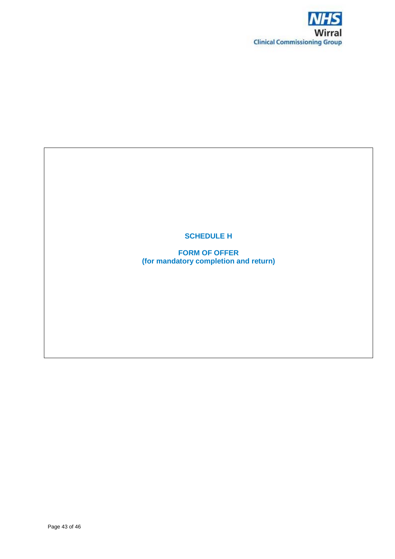

# **SCHEDULE H**

**FORM OF OFFER (for mandatory completion and return)**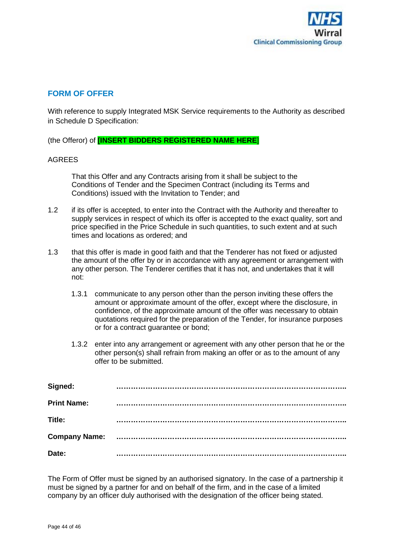

# **FORM OF OFFER**

With reference to supply Integrated MSK Service requirements to the Authority as described in Schedule D Specification:

(the Offeror) of **[INSERT BIDDERS REGISTERED NAME HERE**]

#### AGREES

That this Offer and any Contracts arising from it shall be subject to the Conditions of Tender and the Specimen Contract (including its Terms and Conditions) issued with the Invitation to Tender; and

- 1.2 if its offer is accepted, to enter into the Contract with the Authority and thereafter to supply services in respect of which its offer is accepted to the exact quality, sort and price specified in the Price Schedule in such quantities, to such extent and at such times and locations as ordered; and
- 1.3 that this offer is made in good faith and that the Tenderer has not fixed or adjusted the amount of the offer by or in accordance with any agreement or arrangement with any other person. The Tenderer certifies that it has not, and undertakes that it will not:
	- 1.3.1 communicate to any person other than the person inviting these offers the amount or approximate amount of the offer, except where the disclosure, in confidence, of the approximate amount of the offer was necessary to obtain quotations required for the preparation of the Tender, for insurance purposes or for a contract guarantee or bond;
	- 1.3.2 enter into any arrangement or agreement with any other person that he or the other person(s) shall refrain from making an offer or as to the amount of any offer to be submitted.

| Signed:              |  |
|----------------------|--|
| <b>Print Name:</b>   |  |
| Title:               |  |
| <b>Company Name:</b> |  |
| Date:                |  |

The Form of Offer must be signed by an authorised signatory. In the case of a partnership it must be signed by a partner for and on behalf of the firm, and in the case of a limited company by an officer duly authorised with the designation of the officer being stated.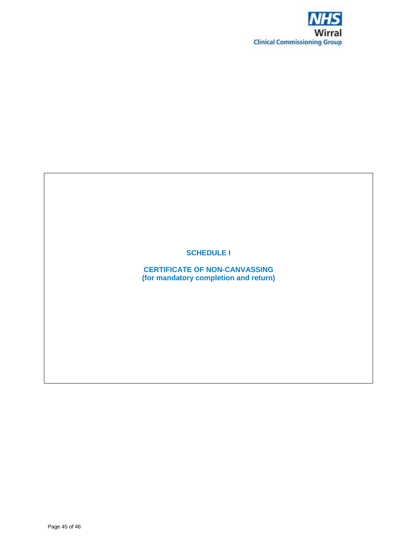

**SCHEDULE I**

**CERTIFICATE OF NON-CANVASSING (for mandatory completion and return)**